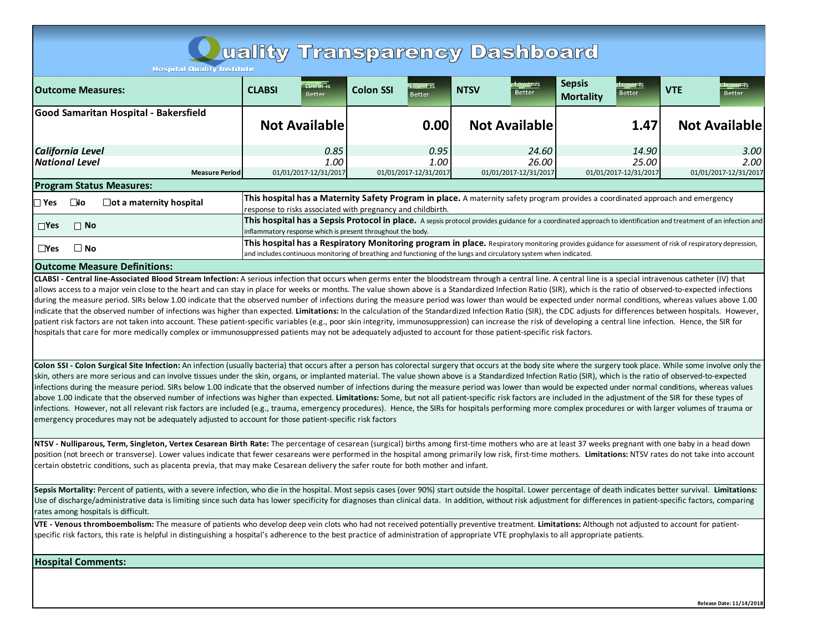|                                                                                                                                                                                                                                                                                                                                                                                                                                                                                                                                                                                                                                                                                                                                                                                                                                                                                                                                                                                                                                                                                                                                                                                                                                                                                                                                                                                                                                                                                                                                                                                                                                                                                                                                                              |                                                             | uallity Transparency Dashboard                                                                                                                                                                 |                              |                                                    |                                              |
|--------------------------------------------------------------------------------------------------------------------------------------------------------------------------------------------------------------------------------------------------------------------------------------------------------------------------------------------------------------------------------------------------------------------------------------------------------------------------------------------------------------------------------------------------------------------------------------------------------------------------------------------------------------------------------------------------------------------------------------------------------------------------------------------------------------------------------------------------------------------------------------------------------------------------------------------------------------------------------------------------------------------------------------------------------------------------------------------------------------------------------------------------------------------------------------------------------------------------------------------------------------------------------------------------------------------------------------------------------------------------------------------------------------------------------------------------------------------------------------------------------------------------------------------------------------------------------------------------------------------------------------------------------------------------------------------------------------------------------------------------------------|-------------------------------------------------------------|------------------------------------------------------------------------------------------------------------------------------------------------------------------------------------------------|------------------------------|----------------------------------------------------|----------------------------------------------|
| <b>Hospital Quality Institute</b>                                                                                                                                                                                                                                                                                                                                                                                                                                                                                                                                                                                                                                                                                                                                                                                                                                                                                                                                                                                                                                                                                                                                                                                                                                                                                                                                                                                                                                                                                                                                                                                                                                                                                                                            |                                                             |                                                                                                                                                                                                |                              |                                                    |                                              |
| <b>Outcome Measures:</b>                                                                                                                                                                                                                                                                                                                                                                                                                                                                                                                                                                                                                                                                                                                                                                                                                                                                                                                                                                                                                                                                                                                                                                                                                                                                                                                                                                                                                                                                                                                                                                                                                                                                                                                                     | Lower is<br><b>CLABSI</b><br><b>Better</b>                  | <b>Colon SSI</b><br><b>Better</b>                                                                                                                                                              | <b>NTSV</b><br><b>Better</b> | <b>Sepsis</b><br><b>Better</b><br><b>Mortality</b> | <u>wer</u> ⊟s<br><b>VTE</b><br><b>Better</b> |
| Good Samaritan Hospital - Bakersfield                                                                                                                                                                                                                                                                                                                                                                                                                                                                                                                                                                                                                                                                                                                                                                                                                                                                                                                                                                                                                                                                                                                                                                                                                                                                                                                                                                                                                                                                                                                                                                                                                                                                                                                        | <b>Not Available</b>                                        | 0.00                                                                                                                                                                                           | <b>Not Available</b>         | 1.47                                               | <b>Not Available</b>                         |
| California Level                                                                                                                                                                                                                                                                                                                                                                                                                                                                                                                                                                                                                                                                                                                                                                                                                                                                                                                                                                                                                                                                                                                                                                                                                                                                                                                                                                                                                                                                                                                                                                                                                                                                                                                                             | 0.85                                                        | 0.95                                                                                                                                                                                           | 24.60                        | 14.90                                              | 3.00                                         |
| <b>National Level</b>                                                                                                                                                                                                                                                                                                                                                                                                                                                                                                                                                                                                                                                                                                                                                                                                                                                                                                                                                                                                                                                                                                                                                                                                                                                                                                                                                                                                                                                                                                                                                                                                                                                                                                                                        | 1.00                                                        | 1.00                                                                                                                                                                                           | 26.00                        | 25.00                                              | 2.00                                         |
| <b>Measure Period</b>                                                                                                                                                                                                                                                                                                                                                                                                                                                                                                                                                                                                                                                                                                                                                                                                                                                                                                                                                                                                                                                                                                                                                                                                                                                                                                                                                                                                                                                                                                                                                                                                                                                                                                                                        | 01/01/2017-12/31/2017                                       | 01/01/2017-12/31/2017                                                                                                                                                                          | 01/01/2017-12/31/2017        | 01/01/2017-12/31/2017                              | 01/01/2017-12/31/2017                        |
| <b>Program Status Measures:</b>                                                                                                                                                                                                                                                                                                                                                                                                                                                                                                                                                                                                                                                                                                                                                                                                                                                                                                                                                                                                                                                                                                                                                                                                                                                                                                                                                                                                                                                                                                                                                                                                                                                                                                                              |                                                             |                                                                                                                                                                                                |                              |                                                    |                                              |
| ∏No<br>$\Box$ ot a maternity hospital<br>∩ Yes                                                                                                                                                                                                                                                                                                                                                                                                                                                                                                                                                                                                                                                                                                                                                                                                                                                                                                                                                                                                                                                                                                                                                                                                                                                                                                                                                                                                                                                                                                                                                                                                                                                                                                               |                                                             | This hospital has a Maternity Safety Program in place. A maternity safety program provides a coordinated approach and emergency<br>response to risks associated with pregnancy and childbirth. |                              |                                                    |                                              |
| $\square$ Yes<br>$\Box$ No                                                                                                                                                                                                                                                                                                                                                                                                                                                                                                                                                                                                                                                                                                                                                                                                                                                                                                                                                                                                                                                                                                                                                                                                                                                                                                                                                                                                                                                                                                                                                                                                                                                                                                                                   |                                                             | This hospital has a Sepsis Protocol in place. A sepsis protocol provides guidance for a coordinated approach to identification and treatment of an infection and                               |                              |                                                    |                                              |
|                                                                                                                                                                                                                                                                                                                                                                                                                                                                                                                                                                                                                                                                                                                                                                                                                                                                                                                                                                                                                                                                                                                                                                                                                                                                                                                                                                                                                                                                                                                                                                                                                                                                                                                                                              | inflammatory response which is present throughout the body. |                                                                                                                                                                                                |                              |                                                    |                                              |
| $\square$ No<br>$\square$ Yes                                                                                                                                                                                                                                                                                                                                                                                                                                                                                                                                                                                                                                                                                                                                                                                                                                                                                                                                                                                                                                                                                                                                                                                                                                                                                                                                                                                                                                                                                                                                                                                                                                                                                                                                |                                                             | This hospital has a Respiratory Monitoring program in place. Respiratory monitoring provides guidance for assessment of risk of respiratory depression,                                        |                              |                                                    |                                              |
|                                                                                                                                                                                                                                                                                                                                                                                                                                                                                                                                                                                                                                                                                                                                                                                                                                                                                                                                                                                                                                                                                                                                                                                                                                                                                                                                                                                                                                                                                                                                                                                                                                                                                                                                                              |                                                             | and includes continuous monitoring of breathing and functioning of the lungs and circulatory system when indicated.                                                                            |                              |                                                    |                                              |
| <b>Outcome Measure Definitions:</b><br>CLABSI - Central line-Associated Blood Stream Infection: A serious infection that occurs when germs enter the bloodstream through a central line. A central line is a special intravenous catheter (IV) that<br>allows access to a major vein close to the heart and can stay in place for weeks or months. The value shown above is a Standardized Infection Ratio (SIR), which is the ratio of observed-to-expected infections<br>during the measure period. SIRs below 1.00 indicate that the observed number of infections during the measure period was lower than would be expected under normal conditions, whereas values above 1.00<br>indicate that the observed number of infections was higher than expected. Limitations: In the calculation of the Standardized Infection Ratio (SIR), the CDC adjusts for differences between hospitals. However,<br>patient risk factors are not taken into account. These patient-specific variables (e.g., poor skin integrity, immunosuppression) can increase the risk of developing a central line infection. Hence, the SIR for<br>hospitals that care for more medically complex or immunosuppressed patients may not be adequately adjusted to account for those patient-specific risk factors.                                                                                                                                                                                                                                                                                                                                                                                                                                                               |                                                             |                                                                                                                                                                                                |                              |                                                    |                                              |
| Colon SSI - Colon Surgical Site Infection: An infection (usually bacteria) that occurs after a person has colorectal surgery that occurs at the body site where the surgery took place. While some involve only the<br>skin, others are more serious and can involve tissues under the skin, organs, or implanted material. The value shown above is a Standardized Infection Ratio (SIR), which is the ratio of observed-to-expected<br>infections during the measure period. SIRs below 1.00 indicate that the observed number of infections during the measure period was lower than would be expected under normal conditions, whereas values<br>above 1.00 indicate that the observed number of infections was higher than expected. Limitations: Some, but not all patient-specific risk factors are included in the adjustment of the SIR for these types of<br>infections. However, not all relevant risk factors are included (e.g., trauma, emergency procedures). Hence, the SIRs for hospitals performing more complex procedures or with larger volumes of trauma or<br>emergency procedures may not be adequately adjusted to account for those patient-specific risk factors<br>NTSV - Nulliparous, Term, Singleton, Vertex Cesarean Birth Rate: The percentage of cesarean (surgical) births among first-time mothers who are at least 37 weeks pregnant with one baby in a head down<br>position (not breech or transverse). Lower values indicate that fewer cesareans were performed in the hospital among primarily low risk, first-time mothers. Limitations: NTSV rates do not take into account<br>certain obstetric conditions, such as placenta previa, that may make Cesarean delivery the safer route for both mother and infant. |                                                             |                                                                                                                                                                                                |                              |                                                    |                                              |

Sepsis Mortality: Percent of patients, with a severe infection, who die in the hospital. Most sepsis cases (over 90%) start outside the hospital. Lower percentage of death indicates better survival. Limitations: Use of discharge/administrative data is limiting since such data has lower specificity for diagnoses than clinical data. In addition, without risk adjustment for differences in patient-specific factors, comparing rates among hospitals is difficult.

**VTE - Venous thromboembolism:** The measure of patients who develop deep vein clots who had not received potentially preventive treatment. **Limitations:** Although not adjusted to account for patientspecific risk factors, this rate is helpful in distinguishing a hospital's adherence to the best practice of administration of appropriate VTE prophylaxis to all appropriate patients.

**Hospital Comments:**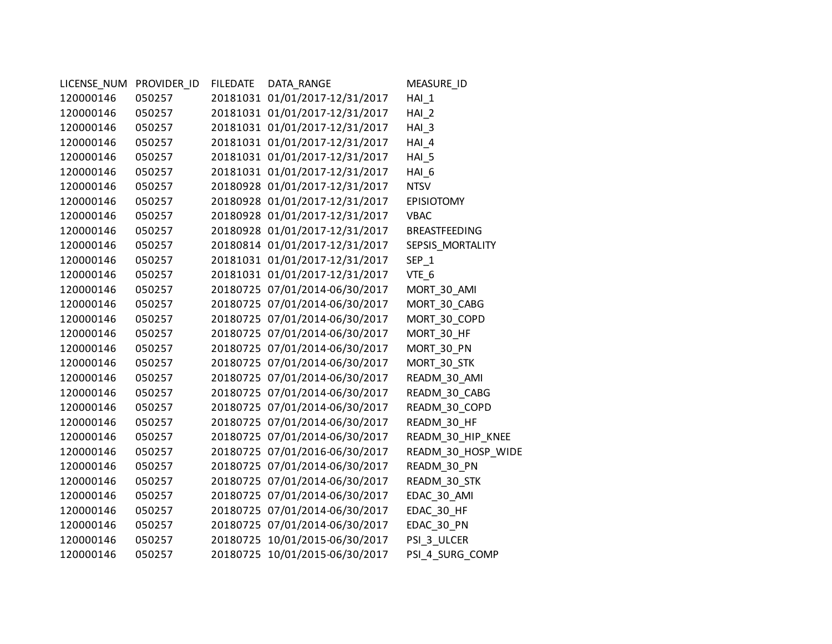| LICENSE_NUM | PROVIDER_ID | <b>FILEDATE</b> | DATA_RANGE                     | MEASURE_ID         |
|-------------|-------------|-----------------|--------------------------------|--------------------|
| 120000146   | 050257      |                 | 20181031 01/01/2017-12/31/2017 | $HAI_1$            |
| 120000146   | 050257      |                 | 20181031 01/01/2017-12/31/2017 | $HAI_2$            |
| 120000146   | 050257      |                 | 20181031 01/01/2017-12/31/2017 | $HAI_3$            |
| 120000146   | 050257      |                 | 20181031 01/01/2017-12/31/2017 | HAI 4              |
| 120000146   | 050257      |                 | 20181031 01/01/2017-12/31/2017 | HAI 5              |
| 120000146   | 050257      |                 | 20181031 01/01/2017-12/31/2017 | HAI <sub>6</sub>   |
| 120000146   | 050257      |                 | 20180928 01/01/2017-12/31/2017 | <b>NTSV</b>        |
| 120000146   | 050257      |                 | 20180928 01/01/2017-12/31/2017 | <b>EPISIOTOMY</b>  |
| 120000146   | 050257      |                 | 20180928 01/01/2017-12/31/2017 | <b>VBAC</b>        |
| 120000146   | 050257      |                 | 20180928 01/01/2017-12/31/2017 | BREASTFEEDING      |
| 120000146   | 050257      |                 | 20180814 01/01/2017-12/31/2017 | SEPSIS_MORTALITY   |
| 120000146   | 050257      |                 | 20181031 01/01/2017-12/31/2017 | $SEP_1$            |
| 120000146   | 050257      |                 | 20181031 01/01/2017-12/31/2017 | VTE 6              |
| 120000146   | 050257      |                 | 20180725 07/01/2014-06/30/2017 | MORT_30_AMI        |
| 120000146   | 050257      |                 | 20180725 07/01/2014-06/30/2017 | MORT_30_CABG       |
| 120000146   | 050257      |                 | 20180725 07/01/2014-06/30/2017 | MORT_30_COPD       |
| 120000146   | 050257      |                 | 20180725 07/01/2014-06/30/2017 | MORT_30_HF         |
| 120000146   | 050257      |                 | 20180725 07/01/2014-06/30/2017 | MORT_30_PN         |
| 120000146   | 050257      |                 | 20180725 07/01/2014-06/30/2017 | MORT_30_STK        |
| 120000146   | 050257      |                 | 20180725 07/01/2014-06/30/2017 | READM_30_AMI       |
| 120000146   | 050257      |                 | 20180725 07/01/2014-06/30/2017 | READM_30_CABG      |
| 120000146   | 050257      |                 | 20180725 07/01/2014-06/30/2017 | READM_30_COPD      |
| 120000146   | 050257      |                 | 20180725 07/01/2014-06/30/2017 | READM_30_HF        |
| 120000146   | 050257      |                 | 20180725 07/01/2014-06/30/2017 | READM_30_HIP_KNEE  |
| 120000146   | 050257      |                 | 20180725 07/01/2016-06/30/2017 | READM_30_HOSP_WIDE |
| 120000146   | 050257      |                 | 20180725 07/01/2014-06/30/2017 | READM_30_PN        |
| 120000146   | 050257      |                 | 20180725 07/01/2014-06/30/2017 | READM_30_STK       |
| 120000146   | 050257      |                 | 20180725 07/01/2014-06/30/2017 | EDAC_30_AMI        |
| 120000146   | 050257      |                 | 20180725 07/01/2014-06/30/2017 | EDAC_30_HF         |
| 120000146   | 050257      |                 | 20180725 07/01/2014-06/30/2017 | EDAC_30_PN         |
| 120000146   | 050257      |                 | 20180725 10/01/2015-06/30/2017 | PSI_3_ULCER        |
| 120000146   | 050257      |                 | 20180725 10/01/2015-06/30/2017 | PSI 4 SURG COMP    |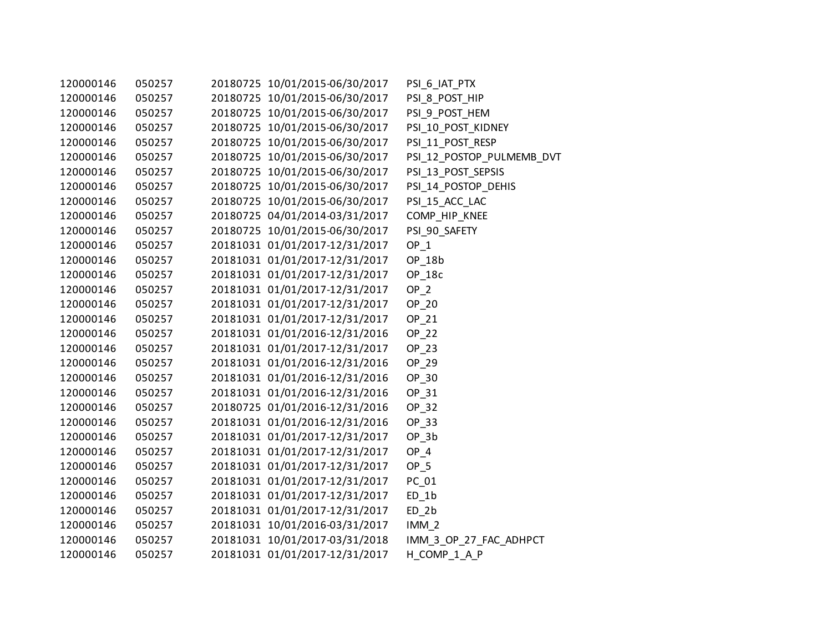| 120000146 | 050257 | 20180725 10/01/2015-06/30/2017 | PSI_6_IAT_PTX             |
|-----------|--------|--------------------------------|---------------------------|
| 120000146 | 050257 | 20180725 10/01/2015-06/30/2017 | PSI_8_POST_HIP            |
| 120000146 | 050257 | 20180725 10/01/2015-06/30/2017 | PSI 9 POST HEM            |
| 120000146 | 050257 | 20180725 10/01/2015-06/30/2017 | PSI_10_POST_KIDNEY        |
| 120000146 | 050257 | 20180725 10/01/2015-06/30/2017 | PSI_11_POST_RESP          |
| 120000146 | 050257 | 20180725 10/01/2015-06/30/2017 | PSI_12_POSTOP_PULMEMB_DVT |
| 120000146 | 050257 | 20180725 10/01/2015-06/30/2017 | PSI 13 POST SEPSIS        |
| 120000146 | 050257 | 20180725 10/01/2015-06/30/2017 | PSI_14_POSTOP_DEHIS       |
| 120000146 | 050257 | 20180725 10/01/2015-06/30/2017 | PSI_15_ACC_LAC            |
| 120000146 | 050257 | 20180725 04/01/2014-03/31/2017 | COMP_HIP_KNEE             |
| 120000146 | 050257 | 20180725 10/01/2015-06/30/2017 | PSI 90 SAFETY             |
| 120000146 | 050257 | 20181031 01/01/2017-12/31/2017 | $OP_1$                    |
| 120000146 | 050257 | 20181031 01/01/2017-12/31/2017 | OP_18b                    |
| 120000146 | 050257 | 20181031 01/01/2017-12/31/2017 | OP 18c                    |
| 120000146 | 050257 | 20181031 01/01/2017-12/31/2017 | $OP_2$                    |
| 120000146 | 050257 | 20181031 01/01/2017-12/31/2017 | OP_20                     |
| 120000146 | 050257 | 20181031 01/01/2017-12/31/2017 | OP 21                     |
| 120000146 | 050257 | 20181031 01/01/2016-12/31/2016 | OP 22                     |
| 120000146 | 050257 | 20181031 01/01/2017-12/31/2017 | OP_23                     |
| 120000146 | 050257 | 20181031 01/01/2016-12/31/2016 | OP 29                     |
| 120000146 | 050257 | 20181031 01/01/2016-12/31/2016 | OP_30                     |
| 120000146 | 050257 | 20181031 01/01/2016-12/31/2016 | OP_31                     |
| 120000146 | 050257 | 20180725 01/01/2016-12/31/2016 | OP_32                     |
| 120000146 | 050257 | 20181031 01/01/2016-12/31/2016 | OP_33                     |
| 120000146 | 050257 | 20181031 01/01/2017-12/31/2017 | $OP_3b$                   |
| 120000146 | 050257 | 20181031 01/01/2017-12/31/2017 | $OP_4$                    |
| 120000146 | 050257 | 20181031 01/01/2017-12/31/2017 | OP <sub>5</sub>           |
| 120000146 | 050257 | 20181031 01/01/2017-12/31/2017 | PC_01                     |
| 120000146 | 050257 | 20181031 01/01/2017-12/31/2017 | $ED_1b$                   |
| 120000146 | 050257 | 20181031 01/01/2017-12/31/2017 | $ED_2b$                   |
| 120000146 | 050257 | 20181031 10/01/2016-03/31/2017 | IMM <sub>2</sub>          |
| 120000146 | 050257 | 20181031 10/01/2017-03/31/2018 | IMM_3_OP_27_FAC_ADHPCT    |
| 120000146 | 050257 | 20181031 01/01/2017-12/31/2017 | H COMP 1 A P              |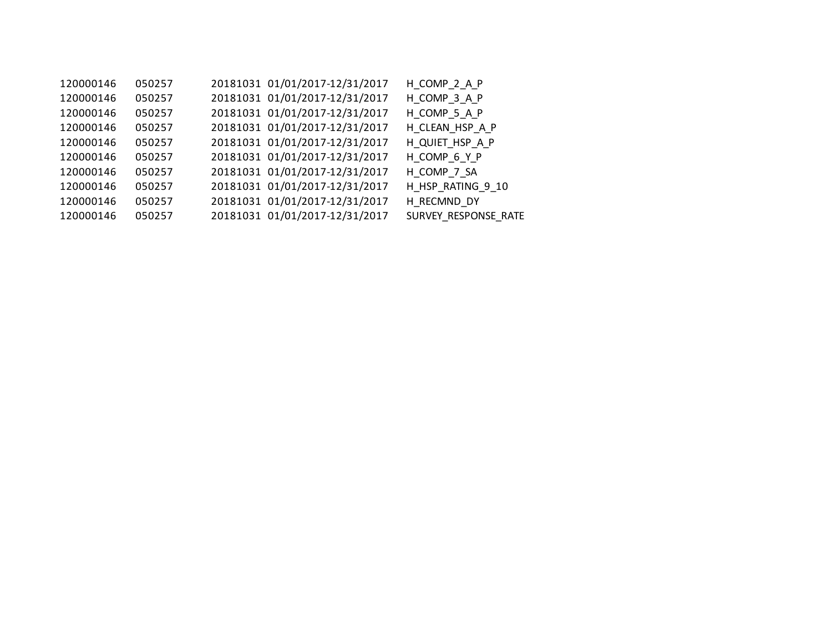| 120000146 | 050257 | 20181031 01/01/2017-12/31/2017 | H COMP 2 A P         |
|-----------|--------|--------------------------------|----------------------|
| 120000146 | 050257 | 20181031 01/01/2017-12/31/2017 | H COMP 3 A P         |
| 120000146 | 050257 | 20181031 01/01/2017-12/31/2017 | H COMP 5 A P         |
| 120000146 | 050257 | 20181031 01/01/2017-12/31/2017 | H_CLEAN_HSP_A_P      |
| 120000146 | 050257 | 20181031 01/01/2017-12/31/2017 | H QUIET HSP A P      |
| 120000146 | 050257 | 20181031 01/01/2017-12/31/2017 | H COMP 6 Y P         |
| 120000146 | 050257 | 20181031 01/01/2017-12/31/2017 | H COMP_7_SA          |
| 120000146 | 050257 | 20181031 01/01/2017-12/31/2017 | H HSP RATING 9 10    |
| 120000146 | 050257 | 20181031 01/01/2017-12/31/2017 | H RECMND DY          |
| 120000146 | 050257 | 20181031 01/01/2017-12/31/2017 | SURVEY RESPONSE RATE |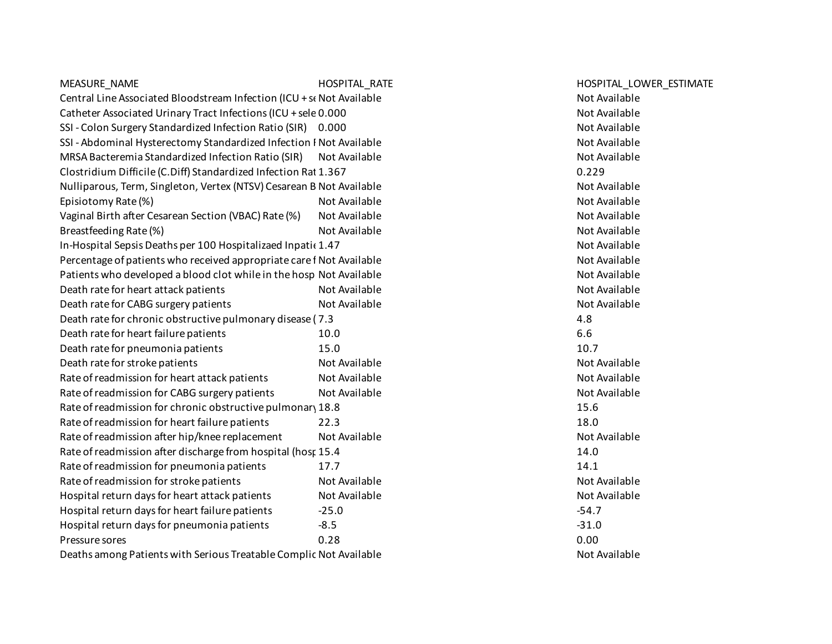| HOSPITAL RATE | HOSPITAL_LOWER_ESTIMATE                                                                                                                                                                                                                                                                                                                                                                                                                                                                                                                                                                                                                                                                                                                                                                                                                                                                                                                                        |
|---------------|----------------------------------------------------------------------------------------------------------------------------------------------------------------------------------------------------------------------------------------------------------------------------------------------------------------------------------------------------------------------------------------------------------------------------------------------------------------------------------------------------------------------------------------------------------------------------------------------------------------------------------------------------------------------------------------------------------------------------------------------------------------------------------------------------------------------------------------------------------------------------------------------------------------------------------------------------------------|
|               | Not Available                                                                                                                                                                                                                                                                                                                                                                                                                                                                                                                                                                                                                                                                                                                                                                                                                                                                                                                                                  |
|               | Not Available                                                                                                                                                                                                                                                                                                                                                                                                                                                                                                                                                                                                                                                                                                                                                                                                                                                                                                                                                  |
|               | Not Available                                                                                                                                                                                                                                                                                                                                                                                                                                                                                                                                                                                                                                                                                                                                                                                                                                                                                                                                                  |
|               | Not Available                                                                                                                                                                                                                                                                                                                                                                                                                                                                                                                                                                                                                                                                                                                                                                                                                                                                                                                                                  |
| Not Available | Not Available                                                                                                                                                                                                                                                                                                                                                                                                                                                                                                                                                                                                                                                                                                                                                                                                                                                                                                                                                  |
|               | 0.229                                                                                                                                                                                                                                                                                                                                                                                                                                                                                                                                                                                                                                                                                                                                                                                                                                                                                                                                                          |
|               | Not Available                                                                                                                                                                                                                                                                                                                                                                                                                                                                                                                                                                                                                                                                                                                                                                                                                                                                                                                                                  |
| Not Available | Not Available                                                                                                                                                                                                                                                                                                                                                                                                                                                                                                                                                                                                                                                                                                                                                                                                                                                                                                                                                  |
| Not Available | Not Available                                                                                                                                                                                                                                                                                                                                                                                                                                                                                                                                                                                                                                                                                                                                                                                                                                                                                                                                                  |
| Not Available | Not Available                                                                                                                                                                                                                                                                                                                                                                                                                                                                                                                                                                                                                                                                                                                                                                                                                                                                                                                                                  |
|               | Not Available                                                                                                                                                                                                                                                                                                                                                                                                                                                                                                                                                                                                                                                                                                                                                                                                                                                                                                                                                  |
|               | Not Available                                                                                                                                                                                                                                                                                                                                                                                                                                                                                                                                                                                                                                                                                                                                                                                                                                                                                                                                                  |
|               | Not Available                                                                                                                                                                                                                                                                                                                                                                                                                                                                                                                                                                                                                                                                                                                                                                                                                                                                                                                                                  |
| Not Available | Not Available                                                                                                                                                                                                                                                                                                                                                                                                                                                                                                                                                                                                                                                                                                                                                                                                                                                                                                                                                  |
| Not Available | Not Available                                                                                                                                                                                                                                                                                                                                                                                                                                                                                                                                                                                                                                                                                                                                                                                                                                                                                                                                                  |
|               | 4.8                                                                                                                                                                                                                                                                                                                                                                                                                                                                                                                                                                                                                                                                                                                                                                                                                                                                                                                                                            |
| 10.0          | 6.6                                                                                                                                                                                                                                                                                                                                                                                                                                                                                                                                                                                                                                                                                                                                                                                                                                                                                                                                                            |
| 15.0          | 10.7                                                                                                                                                                                                                                                                                                                                                                                                                                                                                                                                                                                                                                                                                                                                                                                                                                                                                                                                                           |
| Not Available | Not Available                                                                                                                                                                                                                                                                                                                                                                                                                                                                                                                                                                                                                                                                                                                                                                                                                                                                                                                                                  |
| Not Available | Not Available                                                                                                                                                                                                                                                                                                                                                                                                                                                                                                                                                                                                                                                                                                                                                                                                                                                                                                                                                  |
| Not Available | Not Available                                                                                                                                                                                                                                                                                                                                                                                                                                                                                                                                                                                                                                                                                                                                                                                                                                                                                                                                                  |
|               | 15.6                                                                                                                                                                                                                                                                                                                                                                                                                                                                                                                                                                                                                                                                                                                                                                                                                                                                                                                                                           |
| 22.3          | 18.0                                                                                                                                                                                                                                                                                                                                                                                                                                                                                                                                                                                                                                                                                                                                                                                                                                                                                                                                                           |
| Not Available | Not Available                                                                                                                                                                                                                                                                                                                                                                                                                                                                                                                                                                                                                                                                                                                                                                                                                                                                                                                                                  |
|               | 14.0                                                                                                                                                                                                                                                                                                                                                                                                                                                                                                                                                                                                                                                                                                                                                                                                                                                                                                                                                           |
| 17.7          | 14.1                                                                                                                                                                                                                                                                                                                                                                                                                                                                                                                                                                                                                                                                                                                                                                                                                                                                                                                                                           |
| Not Available | Not Available                                                                                                                                                                                                                                                                                                                                                                                                                                                                                                                                                                                                                                                                                                                                                                                                                                                                                                                                                  |
| Not Available | Not Available                                                                                                                                                                                                                                                                                                                                                                                                                                                                                                                                                                                                                                                                                                                                                                                                                                                                                                                                                  |
| $-25.0$       | $-54.7$                                                                                                                                                                                                                                                                                                                                                                                                                                                                                                                                                                                                                                                                                                                                                                                                                                                                                                                                                        |
| $-8.5$        | $-31.0$                                                                                                                                                                                                                                                                                                                                                                                                                                                                                                                                                                                                                                                                                                                                                                                                                                                                                                                                                        |
| 0.28          | 0.00                                                                                                                                                                                                                                                                                                                                                                                                                                                                                                                                                                                                                                                                                                                                                                                                                                                                                                                                                           |
|               | Not Available                                                                                                                                                                                                                                                                                                                                                                                                                                                                                                                                                                                                                                                                                                                                                                                                                                                                                                                                                  |
|               | Central Line Associated Bloodstream Infection (ICU + st Not Available<br>Catheter Associated Urinary Tract Infections (ICU + sele 0.000<br>SSI - Colon Surgery Standardized Infection Ratio (SIR) 0.000<br>SSI - Abdominal Hysterectomy Standardized Infection I Not Available<br>MRSA Bacteremia Standardized Infection Ratio (SIR)<br>Clostridium Difficile (C.Diff) Standardized Infection Rat 1.367<br>Nulliparous, Term, Singleton, Vertex (NTSV) Cesarean B Not Available<br>In-Hospital Sepsis Deaths per 100 Hospitalizaed Inpati(1.47<br>Percentage of patients who received appropriate care f Not Available<br>Patients who developed a blood clot while in the hosp Not Available<br>Death rate for chronic obstructive pulmonary disease (7.3<br>Rate of readmission for chronic obstructive pulmonary 18.8<br>Rate of readmission after discharge from hospital (host 15.4<br>Deaths among Patients with Serious Treatable Complic Not Available |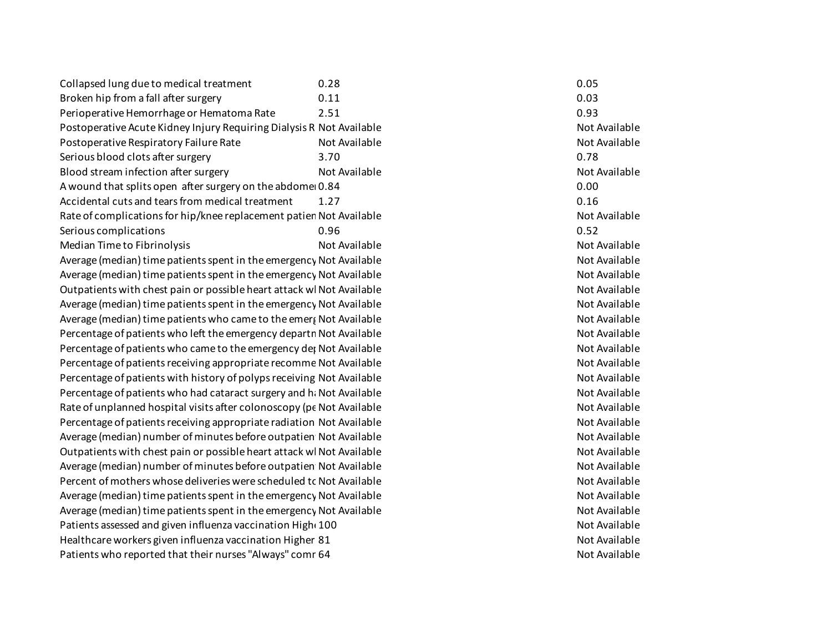| Collapsed lung due to medical treatment                                        | 0.28          | 0.05          |  |
|--------------------------------------------------------------------------------|---------------|---------------|--|
| Broken hip from a fall after surgery                                           | 0.11          | 0.03          |  |
| Perioperative Hemorrhage or Hematoma Rate                                      | 2.51          | 0.93          |  |
| Postoperative Acute Kidney Injury Requiring Dialysis R Not Available           |               | Not Available |  |
| Postoperative Respiratory Failure Rate                                         | Not Available | Not Available |  |
| Serious blood clots after surgery                                              | 3.70          | 0.78          |  |
| Blood stream infection after surgery                                           | Not Available | Not Available |  |
| A wound that splits open after surgery on the abdome 0.84                      |               | 0.00          |  |
| Accidental cuts and tears from medical treatment                               | 1.27          | 0.16          |  |
| Rate of complications for hip/knee replacement patien Not Available            |               | Not Available |  |
| Serious complications                                                          | 0.96          | 0.52          |  |
| Median Time to Fibrinolysis                                                    | Not Available | Not Available |  |
| Average (median) time patients spent in the emergency Not Available            |               | Not Available |  |
| Average (median) time patients spent in the emergency Not Available            |               | Not Available |  |
| Outpatients with chest pain or possible heart attack w  Not Available          |               | Not Available |  |
| Average (median) time patients spent in the emergency Not Available            |               | Not Available |  |
| Average (median) time patients who came to the emer Not Available              |               | Not Available |  |
| Percentage of patients who left the emergency departn Not Available            |               | Not Available |  |
| Percentage of patients who came to the emergency de <sub>l</sub> Not Available |               | Not Available |  |
| Percentage of patients receiving appropriate recomme Not Available             |               | Not Available |  |
| Percentage of patients with history of polyps receiving Not Available          |               | Not Available |  |
| Percentage of patients who had cataract surgery and haNot Available            |               | Not Available |  |
| Rate of unplanned hospital visits after colonoscopy (pe Not Available          |               | Not Available |  |
| Percentage of patients receiving appropriate radiation Not Available           |               | Not Available |  |
| Average (median) number of minutes before outpatien Not Available              |               | Not Available |  |
| Outpatients with chest pain or possible heart attack w Not Available           |               | Not Available |  |
| Average (median) number of minutes before outpatien Not Available              |               | Not Available |  |
| Percent of mothers whose deliveries were scheduled to Not Available            |               | Not Available |  |
| Average (median) time patients spent in the emergency Not Available            |               | Not Available |  |
| Average (median) time patients spent in the emergency Not Available            |               | Not Available |  |
| Patients assessed and given influenza vaccination High 100                     |               | Not Available |  |
| Healthcare workers given influenza vaccination Higher 81                       |               | Not Available |  |
| Patients who reported that their nurses "Always" comr 64                       |               | Not Available |  |
|                                                                                |               |               |  |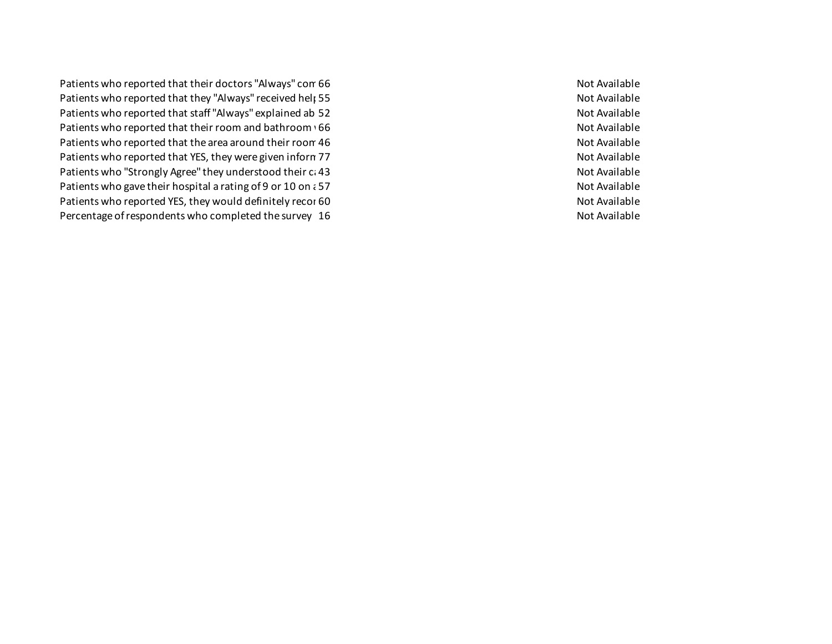Patients who reported that their doctors "Always" com 66 Not Available well as a Not Available Patients who reported that they "Always" received help 55 Not Available as they wanted for a social as they wanted 55 Patients who reported that staff "Always" explained ab 52 Not Available medicines before giving it to them 52 Patients who reported that their room and bathroom 66 Not Available 2008 Not Available Patients who reported that the area around their room 46 Not Available 36 Not Available Patients who reported that YES, they were given inform 77 Not Available what to do during the formula to during the Not Available Patients who "Strongly Agree" they understood their care 43 Not Available hospital 43 Not Available Patients who gave their hospital a rating of 9 or 10 on a 57 case from 0 (lowest) to 10 minutes and 0 (highest) F Patients who reported YES, they would definitely recor 60 Not Available hospital 60 Not Available Percentage of respondents who completed the survey 16 Not Available Not Available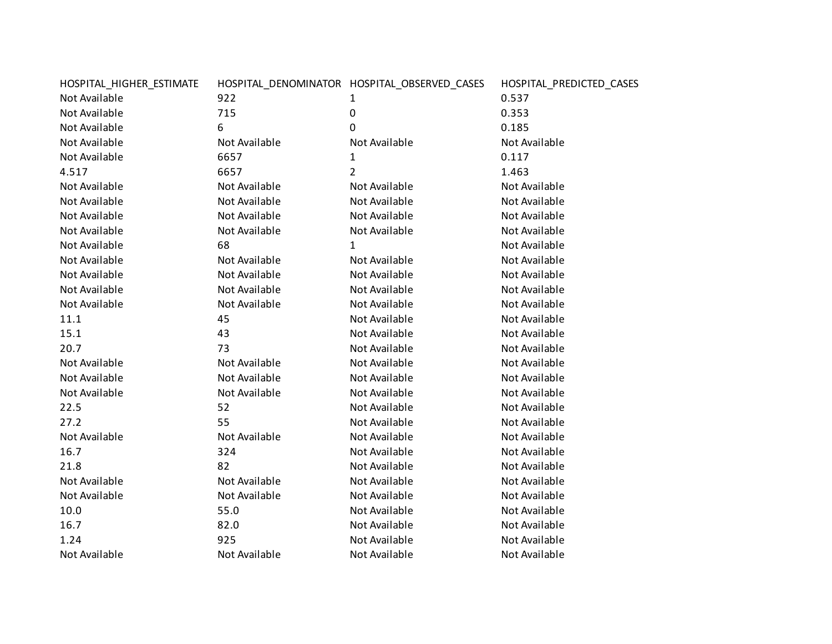| HOSPITAL_HIGHER_ESTIMATE |               | HOSPITAL_DENOMINATOR HOSPITAL_OBSERVED_CASES | HOSPITAL_PREDICTED_CASES |
|--------------------------|---------------|----------------------------------------------|--------------------------|
| Not Available            | 922           | 1                                            | 0.537                    |
| Not Available            | 715           | 0                                            | 0.353                    |
| Not Available            | 6             | 0                                            | 0.185                    |
| Not Available            | Not Available | Not Available                                | Not Available            |
| Not Available            | 6657          | 1                                            | 0.117                    |
| 4.517                    | 6657          | $\overline{2}$                               | 1.463                    |
| Not Available            | Not Available | Not Available                                | Not Available            |
| Not Available            | Not Available | Not Available                                | Not Available            |
| Not Available            | Not Available | Not Available                                | Not Available            |
| Not Available            | Not Available | Not Available                                | Not Available            |
| Not Available            | 68            | 1                                            | Not Available            |
| Not Available            | Not Available | Not Available                                | Not Available            |
| Not Available            | Not Available | Not Available                                | Not Available            |
| Not Available            | Not Available | Not Available                                | Not Available            |
| Not Available            | Not Available | Not Available                                | Not Available            |
| 11.1                     | 45            | Not Available                                | Not Available            |
| 15.1                     | 43            | Not Available                                | Not Available            |
| 20.7                     | 73            | Not Available                                | Not Available            |
| Not Available            | Not Available | Not Available                                | Not Available            |
| Not Available            | Not Available | Not Available                                | Not Available            |
| Not Available            | Not Available | Not Available                                | Not Available            |
| 22.5                     | 52            | Not Available                                | Not Available            |
| 27.2                     | 55            | Not Available                                | Not Available            |
| Not Available            | Not Available | Not Available                                | Not Available            |
| 16.7                     | 324           | Not Available                                | Not Available            |
| 21.8                     | 82            | Not Available                                | Not Available            |
| Not Available            | Not Available | Not Available                                | Not Available            |
| Not Available            | Not Available | Not Available                                | Not Available            |
| 10.0                     | 55.0          | Not Available                                | Not Available            |
| 16.7                     | 82.0          | Not Available                                | Not Available            |
| 1.24                     | 925           | Not Available                                | Not Available            |
| Not Available            | Not Available | Not Available                                | Not Available            |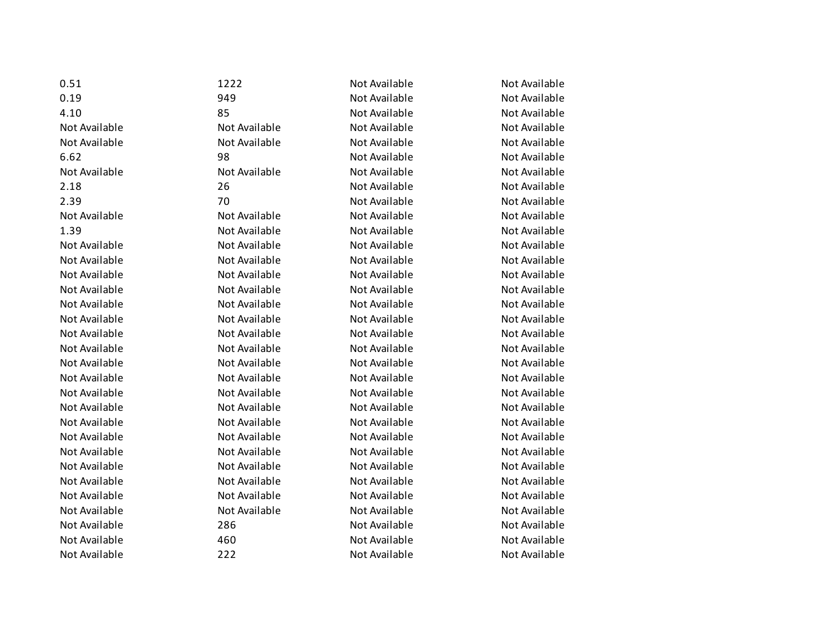Not Available 222 22 Not Available Not Available Not Available

0.19 949 Not Available Not Available 4.10 **85** 85 Not Available **Not Available** Not Available Not Available Not Available Not Available Not Available Not Available Not Available Not Available Not Available 6.62 98 Not Available Not Available Not Available Not Available Not Available Not Available 2.18 20 26 Not Available Not Available Not Available 2.39 70 Not Available Not Available Not Available Not Available Not Available Not Available 1.39 Not Available Not Available Not Available Not Available Not Available Not Available Not Available Not Available Not Available Not Available Not Available Not Available Not Available Not Available Not Available Not Available Not Available Not Available Not Available Not Available Not Available Not Available Not Available Not Available Not Available Not Available Not Available Not Available Not Available Not Available Not Available Not Available Not Available Not Available Not Available Not Available Not Available Not Available Not Available Not Available Not Available Not Available Not Available Not Available Not Available Not Available Not Available Not Available Not Available Not Available Not Available Not Available Not Available Not Available Not Available Not Available Not Available Not Available Not Available Not Available Not Available Not Available Not Available Not Available Not Available Not Available Not Available Not Available Not Available Not Available Not Available Not Available Not Available Not Available Not Available Not Available Not Available Not Available Not Available Not Available 286 286 Not Available Not Available Not Available Not Available **1992** According to the Available Mot Available Available Not Available

0.51 1222 Not Available Not Available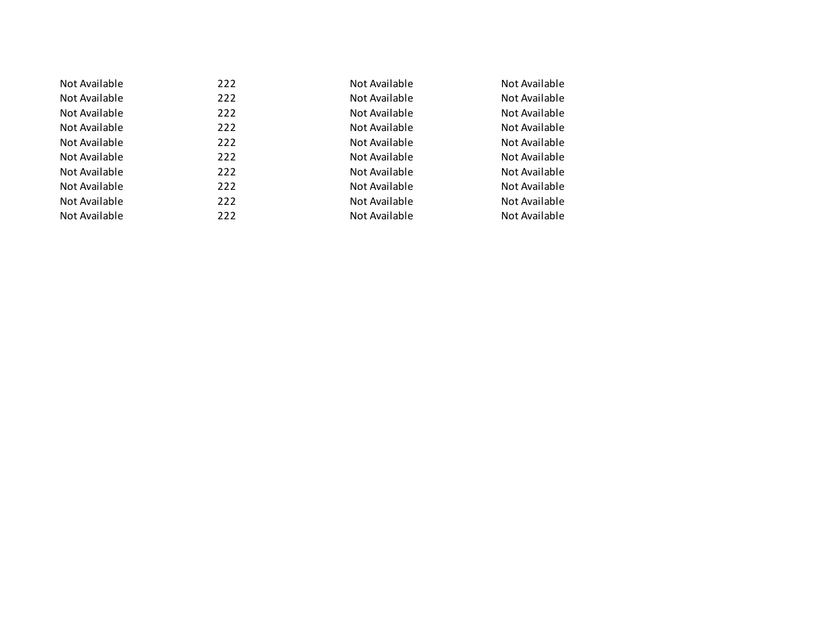| Not Available<br>Not Available<br>222<br>Not Available<br>222<br>Not Available<br>222<br>Not Available<br>Not Available<br>Not Available<br>Not Available<br>222<br>Not Available<br>Not Available<br>222<br>222<br>Not Available<br>Not Available<br>Not Available<br>222<br>Not Available<br>Not Available<br>222<br>Not Available<br>Not Available<br>Not Available<br>222 | Not Available | 222 | Not Available | Not Available |
|-------------------------------------------------------------------------------------------------------------------------------------------------------------------------------------------------------------------------------------------------------------------------------------------------------------------------------------------------------------------------------|---------------|-----|---------------|---------------|
|                                                                                                                                                                                                                                                                                                                                                                               |               |     |               | Not Available |
|                                                                                                                                                                                                                                                                                                                                                                               |               |     |               | Not Available |
|                                                                                                                                                                                                                                                                                                                                                                               |               |     |               | Not Available |
|                                                                                                                                                                                                                                                                                                                                                                               |               |     |               | Not Available |
|                                                                                                                                                                                                                                                                                                                                                                               |               |     |               | Not Available |
|                                                                                                                                                                                                                                                                                                                                                                               |               |     |               | Not Available |
|                                                                                                                                                                                                                                                                                                                                                                               |               |     |               | Not Available |
|                                                                                                                                                                                                                                                                                                                                                                               |               |     |               | Not Available |
|                                                                                                                                                                                                                                                                                                                                                                               |               |     |               | Not Available |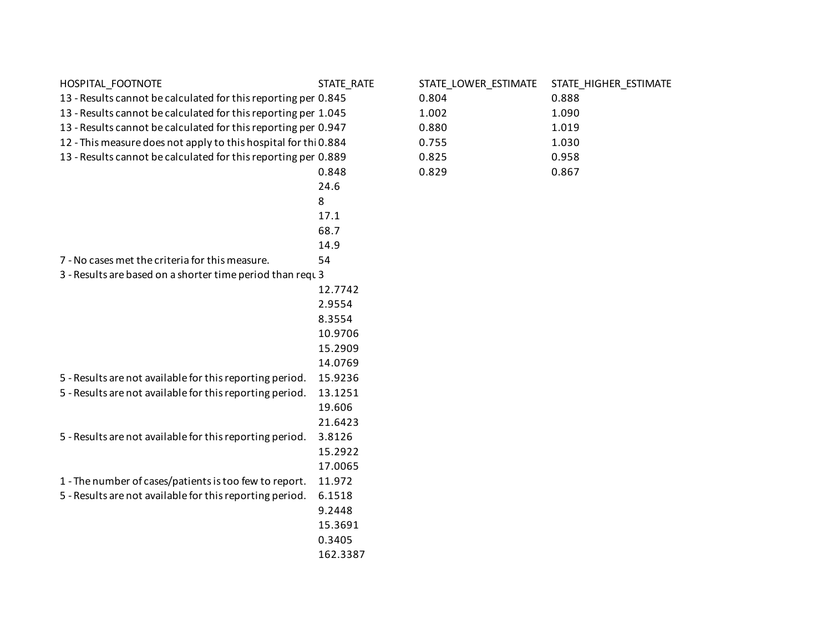| HOSPITAL_FOOTNOTE                                               | STATE_RATE | STATE_LOWER_ESTIMATE | STATE_HIGHER_ESTIMATE |
|-----------------------------------------------------------------|------------|----------------------|-----------------------|
| 13 - Results cannot be calculated for this reporting per 0.845  |            | 0.804                | 0.888                 |
| 13 - Results cannot be calculated for this reporting per 1.045  |            | 1.002                | 1.090                 |
| 13 - Results cannot be calculated for this reporting per 0.947  |            | 0.880                | 1.019                 |
| 12 - This measure does not apply to this hospital for thi 0.884 |            | 0.755                | 1.030                 |
| 13 - Results cannot be calculated for this reporting per 0.889  |            | 0.825                | 0.958                 |
|                                                                 | 0.848      | 0.829                | 0.867                 |
|                                                                 | 24.6       |                      |                       |
|                                                                 | 8          |                      |                       |
|                                                                 | 17.1       |                      |                       |
|                                                                 | 68.7       |                      |                       |
|                                                                 | 14.9       |                      |                       |
| 7 - No cases met the criteria for this measure.                 | 54         |                      |                       |
| 3 - Results are based on a shorter time period than requ 3      |            |                      |                       |
|                                                                 | 12.7742    |                      |                       |
|                                                                 | 2.9554     |                      |                       |
|                                                                 | 8.3554     |                      |                       |
|                                                                 | 10.9706    |                      |                       |
|                                                                 | 15.2909    |                      |                       |
|                                                                 | 14.0769    |                      |                       |
| 5 - Results are not available for this reporting period.        | 15.9236    |                      |                       |
| 5 - Results are not available for this reporting period.        | 13.1251    |                      |                       |
|                                                                 | 19.606     |                      |                       |
|                                                                 | 21.6423    |                      |                       |
| 5 - Results are not available for this reporting period.        | 3.8126     |                      |                       |
|                                                                 | 15.2922    |                      |                       |
|                                                                 | 17.0065    |                      |                       |
| 1 - The number of cases/patients is too few to report.          | 11.972     |                      |                       |
| 5 - Results are not available for this reporting period.        | 6.1518     |                      |                       |
|                                                                 | 9.2448     |                      |                       |
|                                                                 | 15.3691    |                      |                       |
|                                                                 | 0.3405     |                      |                       |
|                                                                 | 162.3387   |                      |                       |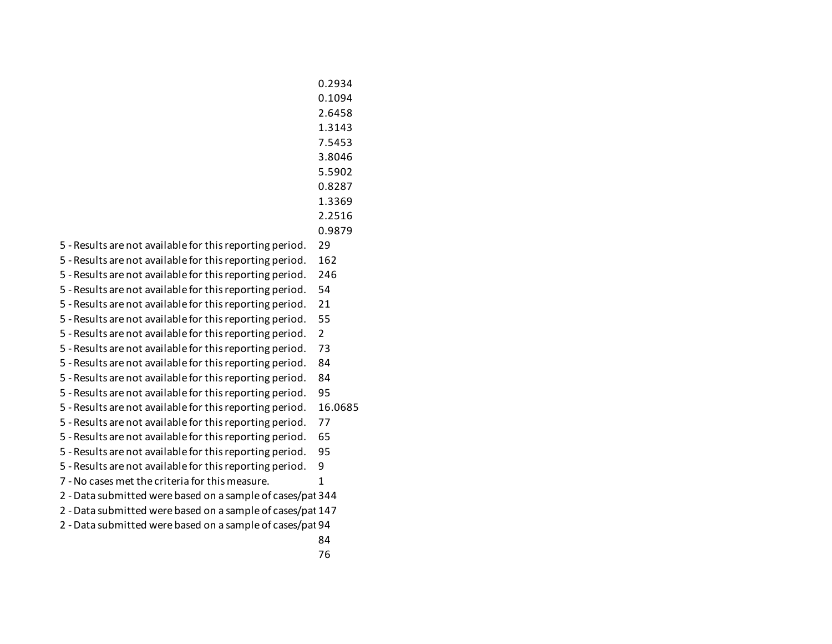0.1094 2.6458 1.3143 7.5453 3.8046 5.5902 0.8287

0.2934

- 1.3369
- 2.2516
- 0.9879

5 - Results are not available for this reporting period. 29

5 - Results are not available for this reporting period. 162

5 - Results are not available for this reporting period. 246

5 - Results are not available for this reporting period. 54

5 - Results are not available for this reporting period. 21

5 - Results are not available for this reporting period. 55

5 - Results are not available for this reporting period. 2

5 - Results are not available for this reporting period. 73

5 - Results are not available for this reporting period. 84

5 - Results are not available for this reporting period. 84

5 - Results are not available for this reporting period. 95

5 - Results are not available for this reporting period. 16.0685

5 - Results are not available for this reporting period. 77

5 - Results are not available for this reporting period. 65

5 - Results are not available for this reporting period. 95

5 - Results are not available for this reporting period. 9

7 - No cases met the criteria for this measure. 1

2 - Data submitted were based on a sample of cases/pat 344

2 - Data submitted were based on a sample of cases/pat 147

2 - Data submitted were based on a sample of cases/pat 94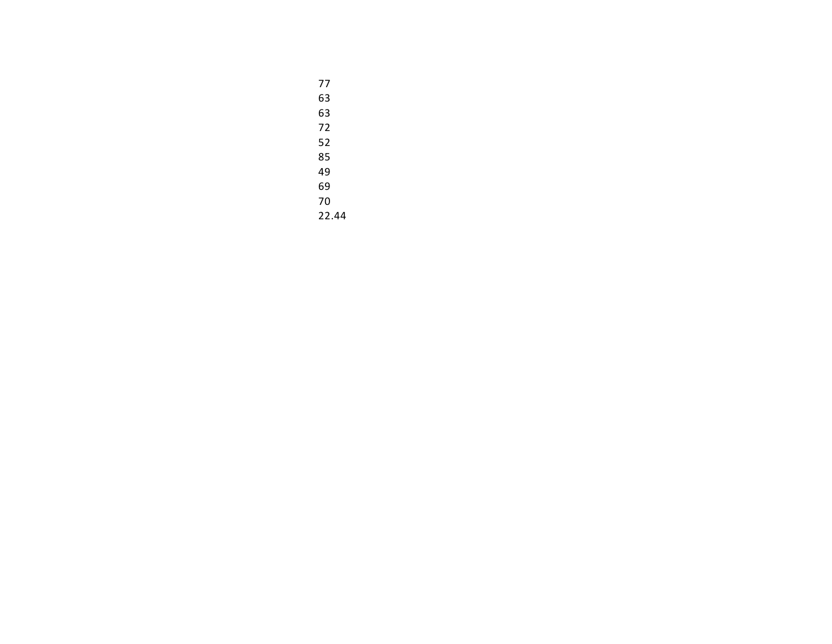22.44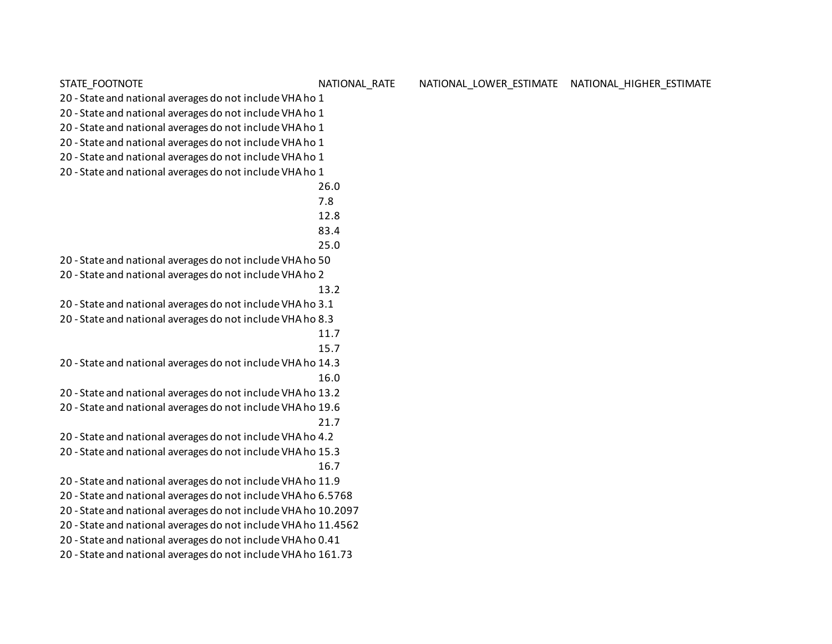STATE\_FOOTNOTE NATIONAL\_RATE NATIONAL\_LOWER\_ESTIMATE NATIONAL\_HIGHER\_ESTIMATE

20 - State and national averages do not include VHA ho 1

20 - State and national averages do not include VHA ho 1

20 - State and national averages do not include VHA ho 1

20 - State and national averages do not include VHA ho 1

20 - State and national averages do not include VHA ho 1

20 - State and national averages do not include VHA ho 1

26.0

7.8

12.8

83.4 25.0

20 - State and national averages do not include VHA ho 50

20 - State and national averages do not include VHA ho 2

13.2

20 - State and national averages do not include VHA ho 3.1

20 - State and national averages do not include VHA ho 8.3

11.7

15.7

20 - State and national averages do not include VHA ho 14.3 16.0

20 - State and national averages do not include VHA ho 13.2

20 - State and national averages do not include VHA ho 19.6 21.7

20 - State and national averages do not include VHA ho 4.2

20 - State and national averages do not include VHA ho 15.3 16.7

20 - State and national averages do not include VHA ho 11.9

20 - State and national averages do not include VHA ho 6.5768

20 - State and national averages do not include VHA ho 10.2097

20 - State and national averages do not include VHA ho 11.4562

20 - State and national averages do not include VHA ho 0.41

20 - State and national averages do not include VHA ho 161.73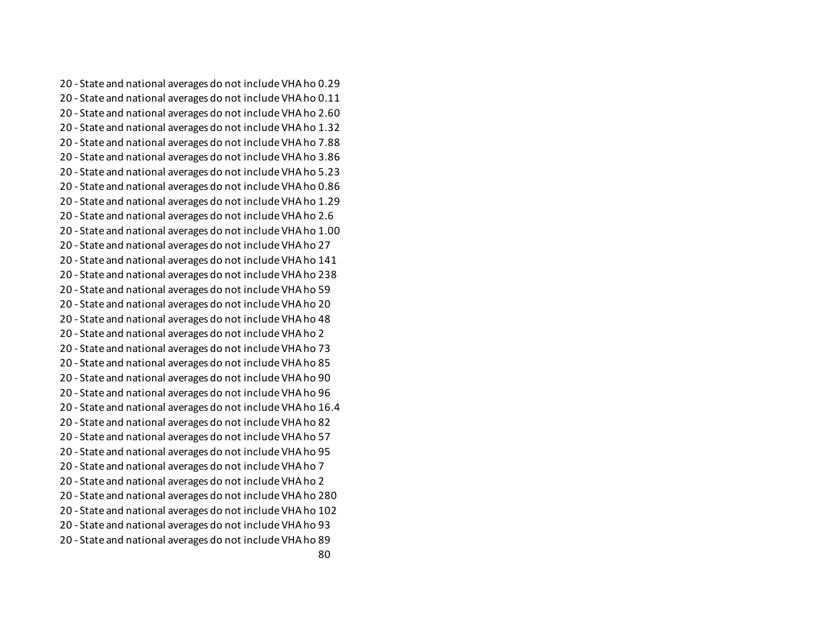20 - State and national averages do not include VHA ho 0.29 20 - State and national averages do not include VHA ho 0.11 20 - State and national averages do not include VHA ho 2.60 20 - State and national averages do not include VHA ho 1.32 20 - State and national averages do not include VHA ho 7.88 20 - State and national averages do not include VHA ho 3.86 20 - State and national averages do not include VHA ho 5.23 20 - State and national averages do not include VHA ho 0.86 20 - State and national averages do not include VHA ho 1.29 20 - State and national averages do not include VHA ho 2.6 20 - State and national averages do not include VHA ho 1.00 20 - State and national averages do not include VHA ho 27 20 - State and national averages do not include VHA ho 141 20 - State and national averages do not include VHA ho 238 20 - State and national averages do not include VHA ho 59 20 - State and national averages do not include VHA ho 20 20 - State and national averages do not include VHA ho 48 20 - State and national averages do not include VHA ho 2 20 - State and national averages do not include VHA ho 73 20 - State and national averages do not include VHA ho 85 20 - State and national averages do not include VHA ho 90 20 - State and national averages do not include VHA ho 96 20 - State and national averages do not include VHA ho 16.4 20 - State and national averages do not include VHA ho 82 20 - State and national averages do not include VHA ho 57 20 - State and national averages do not include VHA ho 95 20 - State and national averages do not include VHA ho 7 20 - State and national averages do not include VHA ho 2 20 - State and national averages do not include VHA ho 280 20 - State and national averages do not include VHA ho 102 20 - State and national averages do not include VHA ho 93 20 - State and national averages do not include VHA ho 89 80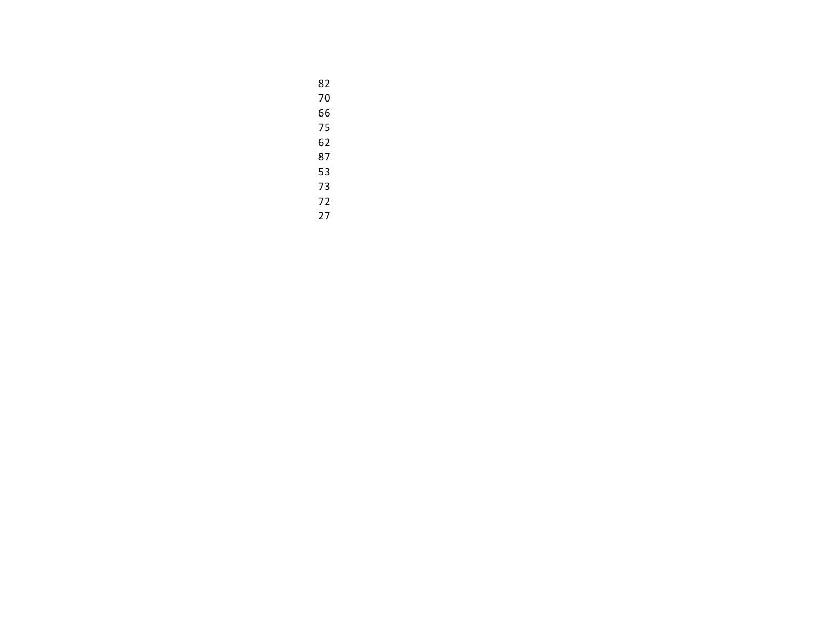- 
- 
- 
- 
- 
-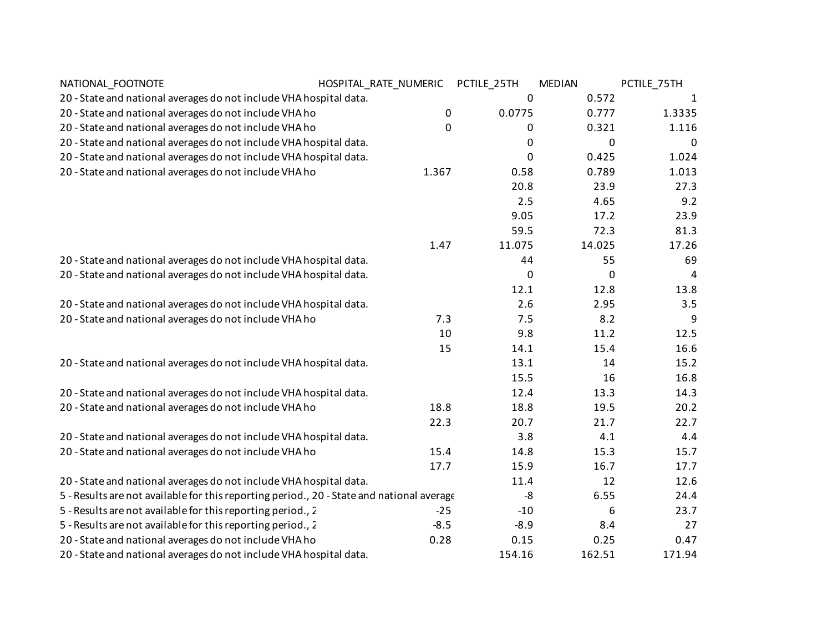| NATIONAL_FOOTNOTE                                                                         | HOSPITAL_RATE_NUMERIC | PCTILE_25TH | <b>MEDIAN</b> | PCTILE_75TH |
|-------------------------------------------------------------------------------------------|-----------------------|-------------|---------------|-------------|
| 20 - State and national averages do not include VHA hospital data.                        |                       | 0           | 0.572         | 1           |
| 20 - State and national averages do not include VHA ho                                    | 0                     | 0.0775      | 0.777         | 1.3335      |
| 20 - State and national averages do not include VHA ho                                    | 0                     | 0           | 0.321         | 1.116       |
| 20 - State and national averages do not include VHA hospital data.                        |                       | 0           | $\mathbf 0$   | 0           |
| 20 - State and national averages do not include VHA hospital data.                        |                       | 0           | 0.425         | 1.024       |
| 20 - State and national averages do not include VHA ho                                    | 1.367                 | 0.58        | 0.789         | 1.013       |
|                                                                                           |                       | 20.8        | 23.9          | 27.3        |
|                                                                                           |                       | 2.5         | 4.65          | 9.2         |
|                                                                                           |                       | 9.05        | 17.2          | 23.9        |
|                                                                                           |                       | 59.5        | 72.3          | 81.3        |
|                                                                                           | 1.47                  | 11.075      | 14.025        | 17.26       |
| 20 - State and national averages do not include VHA hospital data.                        |                       | 44          | 55            | 69          |
| 20 - State and national averages do not include VHA hospital data.                        |                       | 0           | 0             | 4           |
|                                                                                           |                       | 12.1        | 12.8          | 13.8        |
| 20 - State and national averages do not include VHA hospital data.                        |                       | 2.6         | 2.95          | 3.5         |
| 20 - State and national averages do not include VHA ho                                    | 7.3                   | 7.5         | 8.2           | 9           |
|                                                                                           | 10                    | 9.8         | 11.2          | 12.5        |
|                                                                                           | 15                    | 14.1        | 15.4          | 16.6        |
| 20 - State and national averages do not include VHA hospital data.                        |                       | 13.1        | 14            | 15.2        |
|                                                                                           |                       | 15.5        | 16            | 16.8        |
| 20 - State and national averages do not include VHA hospital data.                        |                       | 12.4        | 13.3          | 14.3        |
| 20 - State and national averages do not include VHA ho                                    | 18.8                  | 18.8        | 19.5          | 20.2        |
|                                                                                           | 22.3                  | 20.7        | 21.7          | 22.7        |
| 20 - State and national averages do not include VHA hospital data.                        |                       | 3.8         | 4.1           | 4.4         |
| 20 - State and national averages do not include VHA ho                                    | 15.4                  | 14.8        | 15.3          | 15.7        |
|                                                                                           | 17.7                  | 15.9        | 16.7          | 17.7        |
| 20 - State and national averages do not include VHA hospital data.                        |                       | 11.4        | 12            | 12.6        |
| 5 - Results are not available for this reporting period., 20 - State and national average |                       | -8          | 6.55          | 24.4        |
| 5 - Results are not available for this reporting period., 2                               | $-25$                 | $-10$       | 6             | 23.7        |
| 5 - Results are not available for this reporting period., 2                               | $-8.5$                | $-8.9$      | 8.4           | 27          |
| 20 - State and national averages do not include VHA ho                                    | 0.28                  | 0.15        | 0.25          | 0.47        |
| 20 - State and national averages do not include VHA hospital data.                        |                       | 154.16      | 162.51        | 171.94      |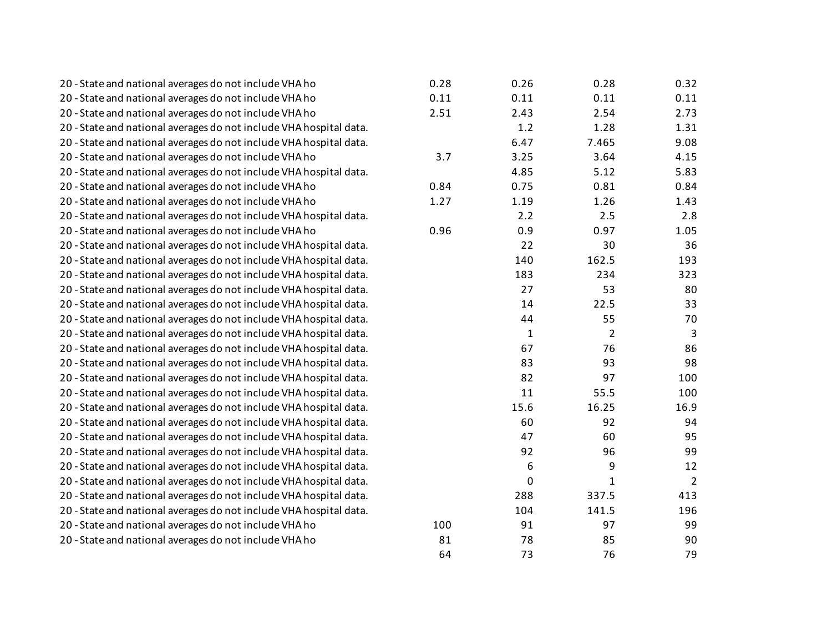| 20 - State and national averages do not include VHA ho             | 0.28 | 0.26         | 0.28           | 0.32           |
|--------------------------------------------------------------------|------|--------------|----------------|----------------|
| 20 - State and national averages do not include VHA ho             | 0.11 | 0.11         | 0.11           | 0.11           |
| 20 - State and national averages do not include VHA ho             | 2.51 | 2.43         | 2.54           | 2.73           |
| 20 - State and national averages do not include VHA hospital data. |      | 1.2          | 1.28           | 1.31           |
| 20 - State and national averages do not include VHA hospital data. |      | 6.47         | 7.465          | 9.08           |
| 20 - State and national averages do not include VHA ho             | 3.7  | 3.25         | 3.64           | 4.15           |
| 20 - State and national averages do not include VHA hospital data. |      | 4.85         | 5.12           | 5.83           |
| 20 - State and national averages do not include VHA ho             | 0.84 | 0.75         | 0.81           | 0.84           |
| 20 - State and national averages do not include VHA ho             | 1.27 | 1.19         | 1.26           | 1.43           |
| 20 - State and national averages do not include VHA hospital data. |      | 2.2          | 2.5            | 2.8            |
| 20 - State and national averages do not include VHA ho             | 0.96 | 0.9          | 0.97           | 1.05           |
| 20 - State and national averages do not include VHA hospital data. |      | 22           | 30             | 36             |
| 20 - State and national averages do not include VHA hospital data. |      | 140          | 162.5          | 193            |
| 20 - State and national averages do not include VHA hospital data. |      | 183          | 234            | 323            |
| 20 - State and national averages do not include VHA hospital data. |      | 27           | 53             | 80             |
| 20 - State and national averages do not include VHA hospital data. |      | 14           | 22.5           | 33             |
| 20 - State and national averages do not include VHA hospital data. |      | 44           | 55             | 70             |
| 20 - State and national averages do not include VHA hospital data. |      | $\mathbf{1}$ | $\overline{2}$ | $\overline{3}$ |
| 20 - State and national averages do not include VHA hospital data. |      | 67           | 76             | 86             |
| 20 - State and national averages do not include VHA hospital data. |      | 83           | 93             | 98             |
| 20 - State and national averages do not include VHA hospital data. |      | 82           | 97             | 100            |
| 20 - State and national averages do not include VHA hospital data. |      | 11           | 55.5           | 100            |
| 20 - State and national averages do not include VHA hospital data. |      | 15.6         | 16.25          | 16.9           |
| 20 - State and national averages do not include VHA hospital data. |      | 60           | 92             | 94             |
| 20 - State and national averages do not include VHA hospital data. |      | 47           | 60             | 95             |
| 20 - State and national averages do not include VHA hospital data. |      | 92           | 96             | 99             |
| 20 - State and national averages do not include VHA hospital data. |      | 6            | 9              | 12             |
| 20 - State and national averages do not include VHA hospital data. |      | 0            | 1              | $\overline{2}$ |
| 20 - State and national averages do not include VHA hospital data. |      | 288          | 337.5          | 413            |
| 20 - State and national averages do not include VHA hospital data. |      | 104          | 141.5          | 196            |
| 20 - State and national averages do not include VHA ho             | 100  | 91           | 97             | 99             |
| 20 - State and national averages do not include VHA ho             | 81   | 78           | 85             | 90             |
|                                                                    | 64   | 73           | 76             | 79             |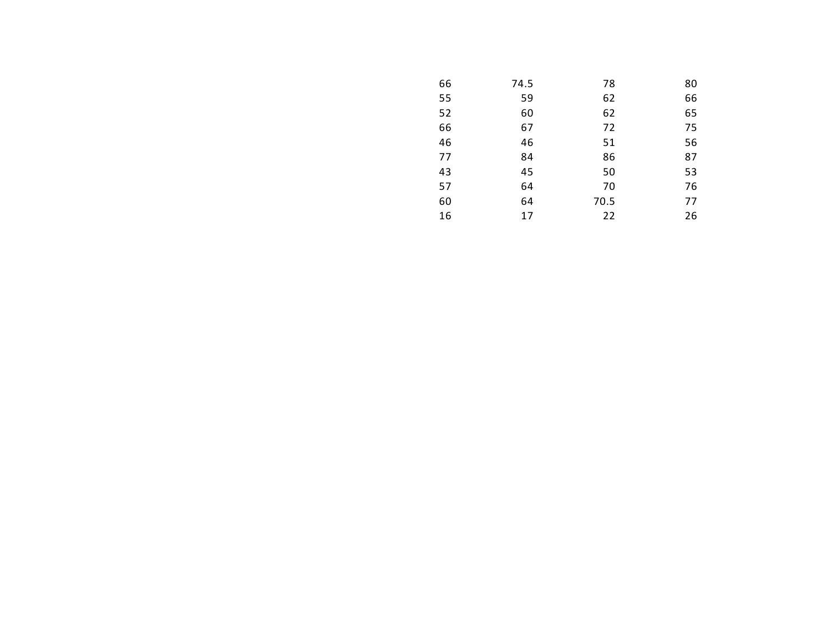| 66 | 74.5 | 78   | 80 |
|----|------|------|----|
| 55 | 59   | 62   | 66 |
| 52 | 60   | 62   | 65 |
| 66 | 67   | 72   | 75 |
| 46 | 46   | 51   | 56 |
| 77 | 84   | 86   | 87 |
| 43 | 45   | 50   | 53 |
| 57 | 64   | 70   | 76 |
| 60 | 64   | 70.5 | 77 |
| 16 | 17   | 22   | 26 |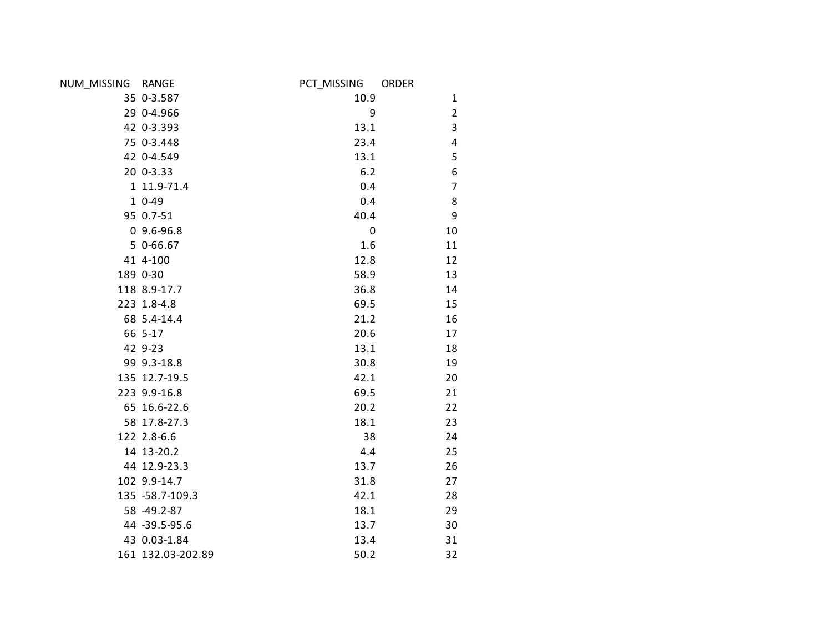| NUM_MISSING RANGE |                    | PCT MISSING | <b>ORDER</b> |                |
|-------------------|--------------------|-------------|--------------|----------------|
|                   | 35 0-3.587         | 10.9        |              | 1              |
|                   | 29 0-4.966         | 9           |              | $\overline{2}$ |
|                   | 42 0-3.393         | 13.1        |              | 3              |
|                   | 75 0-3.448         | 23.4        |              | $\overline{4}$ |
|                   | 42 0-4.549         | 13.1        |              | 5              |
|                   | 20 0-3.33          | $6.2$       |              | 6              |
|                   | 1 11.9-71.4        | 0.4         |              | $\overline{7}$ |
|                   | 1 0-49             | 0.4         |              | 8              |
|                   | 95 0.7-51          | 40.4        |              | 9              |
|                   | $0.9.6 - 96.8$     | 0           |              | 10             |
|                   | 5 0-66.67          | 1.6         |              | 11             |
|                   | 41 4-100           | 12.8        |              | 12             |
|                   | 189 0-30           | 58.9        |              | 13             |
|                   | 118 8.9-17.7       | 36.8        |              | 14             |
|                   | 223 1.8-4.8        | 69.5        |              | 15             |
|                   | 68 5.4-14.4        | 21.2        |              | 16             |
|                   | 66 5-17            | 20.6        |              | 17             |
|                   | 42 9-23            | 13.1        |              | 18             |
|                   | 99 9.3-18.8        | 30.8        |              | 19             |
|                   | 135 12.7-19.5      | 42.1        |              | 20             |
|                   | 223 9.9-16.8       | 69.5        |              | 21             |
|                   | 65 16.6-22.6       | 20.2        |              | 22             |
|                   | 58 17.8-27.3       | 18.1        |              | 23             |
|                   | 122 2.8-6.6        | 38          |              | 24             |
|                   | 14 13-20.2         | 4.4         |              | 25             |
|                   | 44 12.9-23.3       | 13.7        |              | 26             |
|                   | 102 9.9-14.7       | 31.8        |              | 27             |
|                   | 135 - 58.7 - 109.3 | 42.1        |              | 28             |
|                   | 58 -49.2-87        | 18.1        |              | 29             |
|                   | 44 -39.5-95.6      | 13.7        |              | 30             |
|                   | 43 0.03-1.84       | 13.4        |              | 31             |
|                   | 161 132.03-202.89  | 50.2        |              | 32             |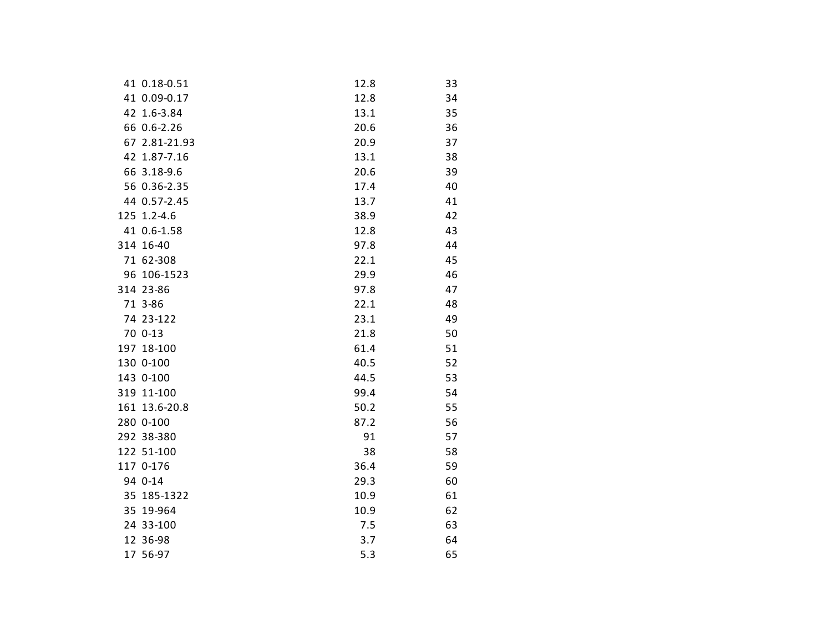| 41 0.18-0.51  | 12.8 | 33 |
|---------------|------|----|
| 41 0.09-0.17  | 12.8 | 34 |
| 42 1.6-3.84   | 13.1 | 35 |
| 66 0.6-2.26   | 20.6 | 36 |
| 67 2.81-21.93 | 20.9 | 37 |
| 42 1.87-7.16  | 13.1 | 38 |
| 66 3.18-9.6   | 20.6 | 39 |
| 56 0.36-2.35  | 17.4 | 40 |
| 44 0.57-2.45  | 13.7 | 41 |
| 125 1.2-4.6   | 38.9 | 42 |
| 41 0.6-1.58   | 12.8 | 43 |
| 314 16-40     | 97.8 | 44 |
| 71 62-308     | 22.1 | 45 |
| 96 106-1523   | 29.9 | 46 |
| 314 23-86     | 97.8 | 47 |
| 71 3-86       | 22.1 | 48 |
| 74 23-122     | 23.1 | 49 |
| 70 0-13       | 21.8 | 50 |
| 197 18-100    | 61.4 | 51 |
| 130 0-100     | 40.5 | 52 |
| 143 0-100     | 44.5 | 53 |
| 319 11-100    | 99.4 | 54 |
| 161 13.6-20.8 | 50.2 | 55 |
| 280 0-100     | 87.2 | 56 |
| 292 38-380    | 91   | 57 |
| 122 51-100    | 38   | 58 |
| 117 0-176     | 36.4 | 59 |
| 94 0-14       | 29.3 | 60 |
| 35 185-1322   | 10.9 | 61 |
| 35 19-964     | 10.9 | 62 |
| 24 33-100     | 7.5  | 63 |
| 12 36-98      | 3.7  | 64 |
| 17 56-97      | 5.3  | 65 |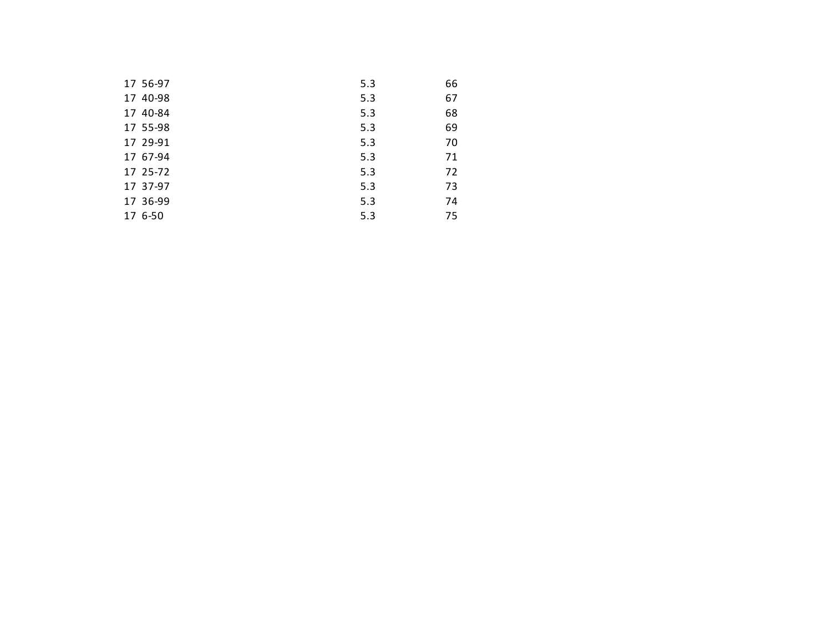| 17 56-97 | 5.3 | 66 |
|----------|-----|----|
| 17 40-98 | 5.3 | 67 |
| 17 40-84 | 5.3 | 68 |
| 17 55-98 | 5.3 | 69 |
| 17 29-91 | 5.3 | 70 |
| 17 67-94 | 5.3 | 71 |
| 17 25-72 | 5.3 | 72 |
| 17 37-97 | 5.3 | 73 |
| 17 36-99 | 5.3 | 74 |
| 17 6-50  | 5.3 | 75 |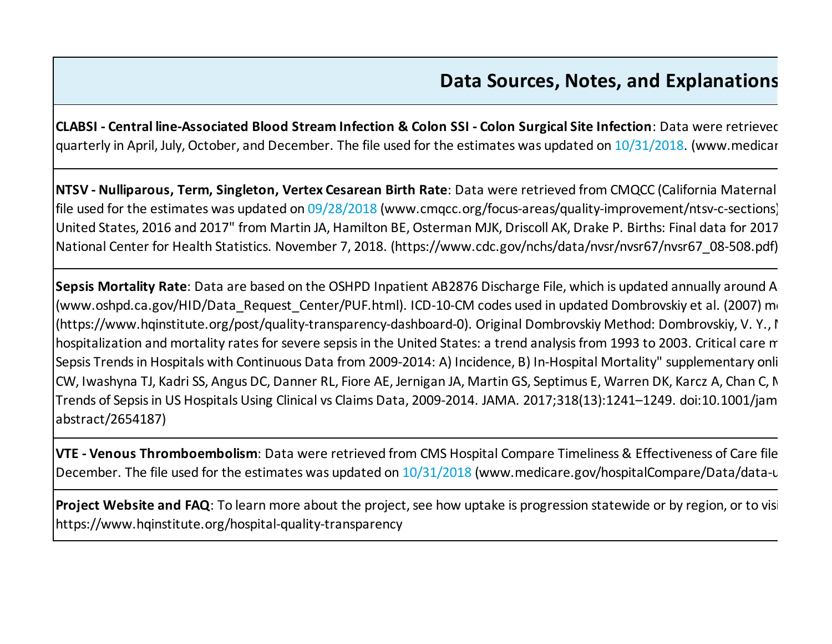## **Data Sources, Notes, and Explanations**

**CLABSI - Central line-Associated Blood Stream Infection & Colon SSI - Colon Surgical Site Infection**: Data were retrieved quarterly in April, July, October, and December. The file used for the estimates was updated on  $10/31/2018$ . (www.medicar

**NTSV - Nulliparous, Term, Singleton, Vertex Cesarean Birth Rate**: Data were retrieved from CMQCC (California Maternal file used for the estimates was updated on  $09/28/2018$  (www.cmqcc.org/focus-areas/quality-improvement/ntsv-c-sections) United States, 2016 and 2017" from Martin JA, Hamilton BE, Osterman MJK, Driscoll AK, Drake P. Births: Final data for 2017 National Center for Health Statistics. November 7, 2018. (https://www.cdc.gov/nchs/data/nvsr/nvsr67/nvsr67\_08-508.pdf)

Sepsis Mortality Rate: Data are based on the OSHPD Inpatient AB2876 Discharge File, which is updated annually around A (www.oshpd.ca.gov/HID/Data\_Request\_Center/PUF.html). ICD-10-CM codes used in updated Dombrovskiy et al. (2007) me (https://www.hqinstitute.org/post/quality-transparency-dashboard-0). Original Dombrovskiy Method: Dombrovskiy, V. Y., I hospitalization and mortality rates for severe sepsis in the United States: a trend analysis from 1993 to 2003. Critical care m Sepsis Trends in Hospitals with Continuous Data from 2009-2014: A) Incidence, B) In-Hospital Mortality" supplementary onli CW, Iwashyna TJ, Kadri SS, Angus DC, Danner RL, Fiore AE, Jernigan JA, Martin GS, Septimus E, Warren DK, Karcz A, Chan C, N Trends of Sepsis in US Hospitals Using Clinical vs Claims Data, 2009-2014. JAMA. 2017;318(13):1241–1249. doi:10.1001/jam abstract/2654187)

**VTE - Venous Thromboembolism**: Data were retrieved from CMS Hospital Compare Timeliness & Effectiveness of Care file December. The file used for the estimates was updated on  $10/31/2018$  (www.medicare.gov/hospitalCompare/Data/data-u

**Project Website and FAQ**: To learn more about the project, see how uptake is progression statewide or by region, or to visite at: https://www.hqinstitute.org/hospital-quality-transparency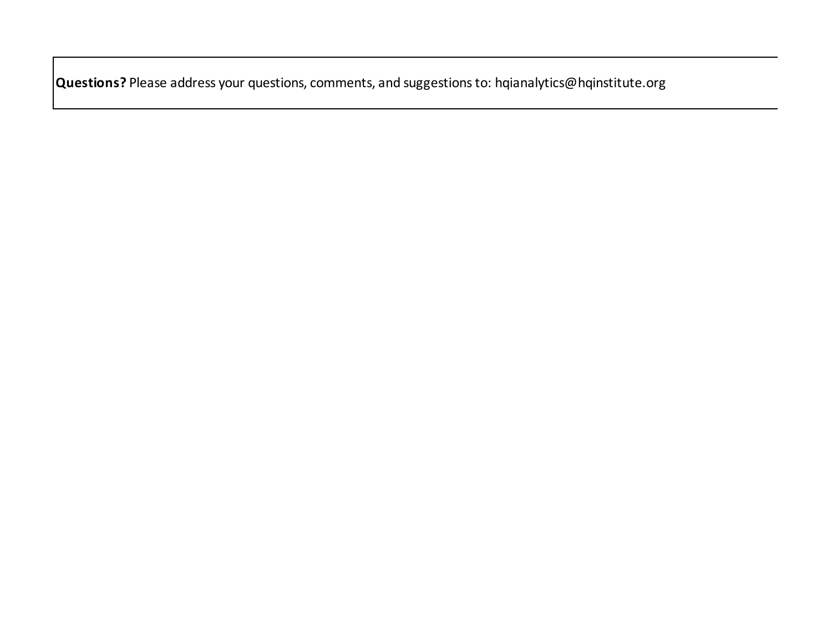**Questions?** Please address your questions, comments, and suggestions to: hqianalytics@hqinstitute.org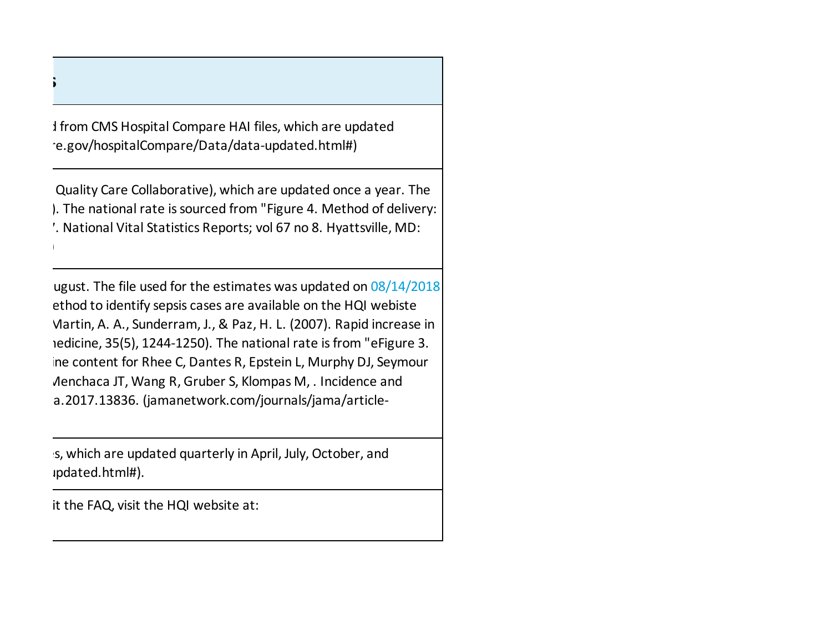**CLABSI - Central line-Associated Blood Stream Infection & Colon SSI - Colon Surgical Site Infection**: Data were retrieved from CMS Hospital Compare HAI files, which are updated e.gov/hospitalCompare/Data/data-updated.html#)

**Data Sources, Notes, and Explanations**

Quality Care Collaborative), which are updated once a year. The ). The national rate is sourced from "Figure 4. Method of delivery: '. National Vital Statistics Reports; vol 67 no 8. Hyattsville, MD:  $N_{\rm eff}$  Health Statistics. November 7, 2018. (http://www.cdc.gov/nchs/nvsr67/nvsr67/nvsr67/nvsr67/nvsr67/nvsr67/nvsr67/nvsr67/nvsr67/nvsr67/nvsr67/nvsr67/nvsr67/nvsr67/nvsr67/nvsr67/nvsr67/nvsr67/nvsr67/nvsr67/nvsr67/nvs

> ugust. The file used for the estimates was updated on 08/14/2018 ethod to identify sepsis cases are available on the HQI webiste Martin, A. A., Sunderram, J., & Paz, H. L. (2007). Rapid increase in hedicine, 35(5), 1244-1250). The national rate is from "eFigure 3. Ine content for Rhee C, Dantes R, Epstein L, Murphy DJ, Seymour Aenchaca JT, Wang R, Gruber S, Klompas M, . Incidence and a. 2017. 13836. (jamanetwork. com/journals/jama/article-

s, which are updated quarterly in April, July, October, and Ipdated html#).

it the FAQ, visit the HQI website at: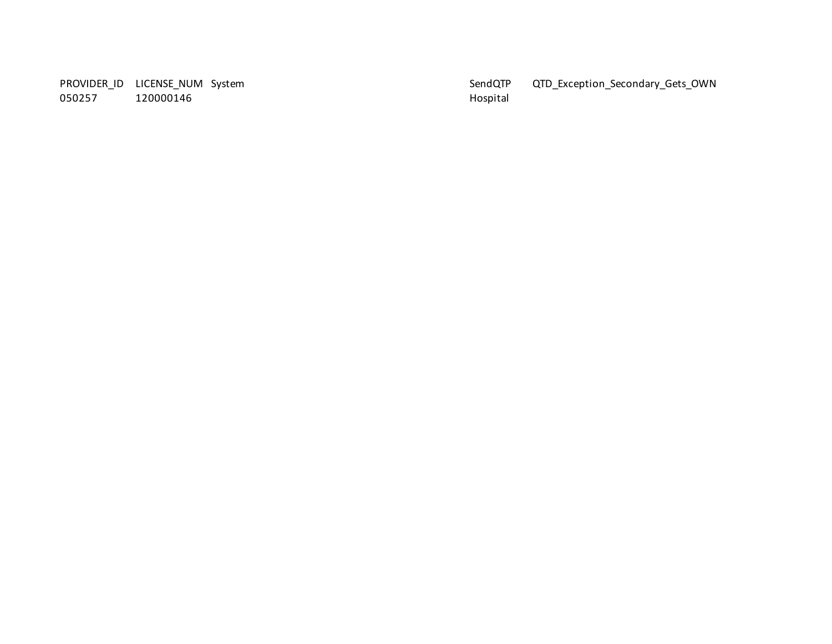120000146

PROVIDER\_ID LICENSE\_NUM System SendQTP QTD\_Exception\_Secondary\_Gets\_OWN<br>
050257 120000146 1650257 120000146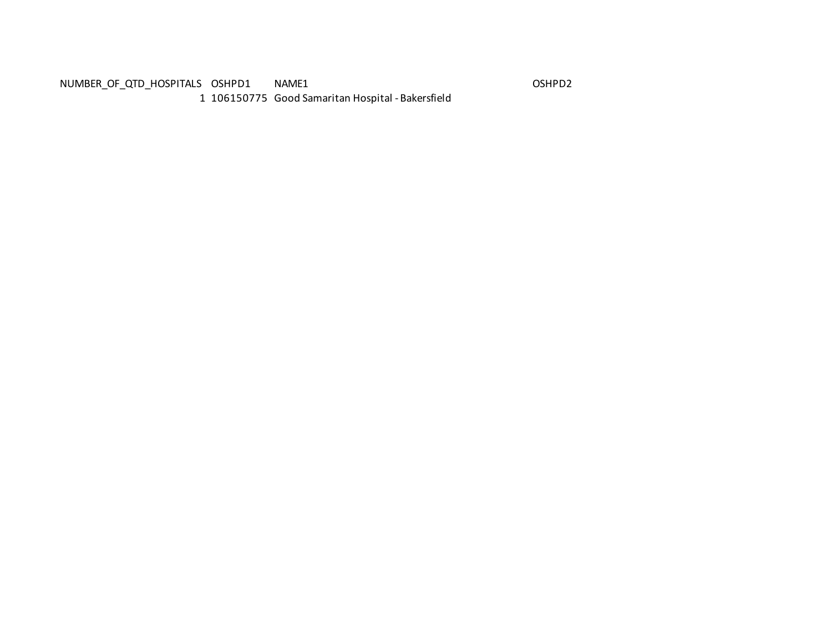NUMBER\_OF\_QTD\_HOSPITALS OSHPD1 NAME1 OSHPD2 1 106150775 Good Samaritan Hospital - Bakersfield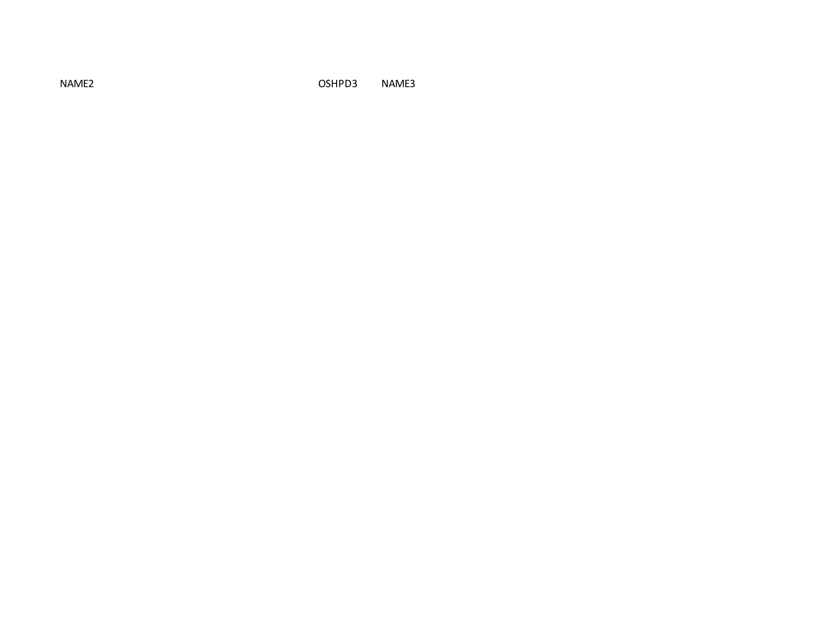NAME2 OSHPD3 NAME3